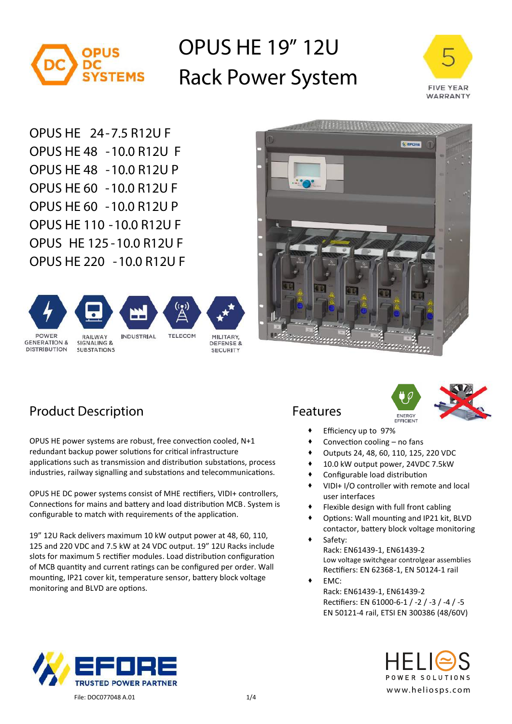

# **OPUS HE 19" 12U Rack Power System**



**OPUS HE 24-7.5 R12U F OPUS HE 48 -10.0 R12U F OPUS HE 48 -10.0 R12U P OPUS HE 60 -10.0 R12U F OPUS HE 60 -10.0 R12U P OPUS HE 110 -10.0 R12U F OPUS HE 125 -10.0 R12U F OPUS HE 220 -10.0 R12U F**





### **Product Description Features**

OPUS HE power systems are robust, free convection cooled, N+1 redundant backup power solutions for critical infrastructure applications such as transmission and distribution substations, process industries, railway signalling and substations and telecommunications.

OPUS HE DC power systems consist of MHE rec�fiers, VIDI+ controllers, Connections for mains and battery and load distribution MCB. System is configurable to match with requirements of the application.

19" 12U Rack delivers maximum 10 kW output power at 48, 60, 110, 125 and 220 VDC and 7.5 kW at 24 VDC output. 19" 12U Racks include slots for maximum 5 rectifier modules. Load distribution configuration of MCB quantity and current ratings can be configured per order. Wall mounting, IP21 cover kit, temperature sensor, battery block voltage monitoring and BLVD are options.





- Efficiency up to 97%
- Convection cooling no fans
- Outputs 24, 48, 60, 110, 125, 220 VDC
- 10.0 kW output power, 24VDC 7.5kW
- Configurable load distribution
- VIDI+ I/O controller with remote and local user interfaces
- Flexible design with full front cabling
- Options: Wall mounting and IP21 kit, BLVD contactor, battery block voltage monitoring
- Safety: Rack: EN61439-1, EN61439-2 Low voltage switchgear controlgear assemblies Rec�fiers: EN 62368-1, EN 50124-1 rail
- EMC: Rack: EN61439-1, EN61439-2 Rec�fiers: EN 61000-6-1 / -2 / -3 / -4 / -5 EN 50121-4 rail, ETSI EN 300386 (48/60V)



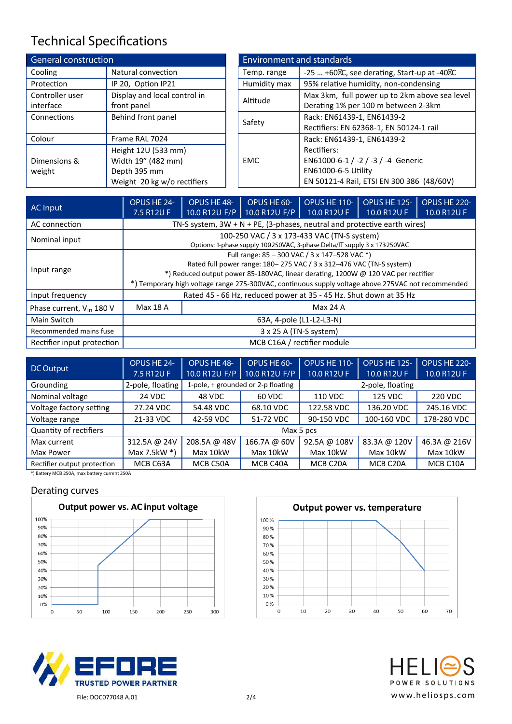## **Technical Specifications**

| <b>General construction</b>  |                                                                                          |              | <b>Environment and standards</b>                                                                                      |
|------------------------------|------------------------------------------------------------------------------------------|--------------|-----------------------------------------------------------------------------------------------------------------------|
| Cooling                      | Natural convection                                                                       | Temp. range  | -25  +60 C, see derating, Start-up at -40 C                                                                           |
| Protection                   | IP 20, Option IP21                                                                       | Humidity max | 95% relative humidity, non-condensing                                                                                 |
| Controller user<br>interface | Display and local control in<br>front panel                                              | Altitude     | Max 3km, full power up to 2km above seal<br>Derating 1% per 100 m between 2-3km                                       |
| Connections                  | Behind front panel                                                                       | Safety       | Rack: EN61439-1, EN61439-2<br>Rectifiers: EN 62368-1, EN 50124-1 rail                                                 |
| Colour                       | Frame RAL 7024                                                                           |              | Rack: EN61439-1, EN61439-2                                                                                            |
| Dimensions &<br>weight       | Height 12U (533 mm)<br>Width 19" (482 mm)<br>Depth 395 mm<br>Weight 20 kg w/o rectifiers | <b>EMC</b>   | Rectifiers:<br>EN61000-6-1 / -2 / -3 / -4 Generic<br>EN61000-6-5 Utility<br>EN 50121-4 Rail, ETSI EN 300 386 (48/60V) |

| <b>Environment and standards</b>                              |                                               |  |  |  |  |
|---------------------------------------------------------------|-----------------------------------------------|--|--|--|--|
| $-25$ $+60$ C, see derating, Start-up at -40 C<br>Temp. range |                                               |  |  |  |  |
| Humidity max                                                  | 95% relative humidity, non-condensing         |  |  |  |  |
| Altitude                                                      | Max 3km, full power up to 2km above sea level |  |  |  |  |
|                                                               | Derating 1% per 100 m between 2-3km           |  |  |  |  |
| Safety                                                        | Rack: EN61439-1, EN61439-2                    |  |  |  |  |
|                                                               | Rectifiers: EN 62368-1, EN 50124-1 rail       |  |  |  |  |
|                                                               | Rack: EN61439-1, EN61439-2                    |  |  |  |  |
|                                                               | Rectifiers:                                   |  |  |  |  |
| <b>EMC</b>                                                    | EN61000-6-1 / -2 / -3 / -4 Generic            |  |  |  |  |
|                                                               | EN61000-6-5 Utility                           |  |  |  |  |
|                                                               | EN 50121-4 Rail, ETSI EN 300 386 (48/60V)     |  |  |  |  |

| AC Input                             | OPUS HE 24-<br>7.5 R12U F | OPUS HE 48-                                                                                                                                                                                                                                                                                                     | OPUS HE 60-<br>10.0 R12U F/P   10.0 R12U F/P | OPUS HE 110-<br>10.0 R12U F                                                 | OPUS HE 125-<br>10.0 R12U F | OPUS HE 220-<br>10.0 R12U F |  |  |  |
|--------------------------------------|---------------------------|-----------------------------------------------------------------------------------------------------------------------------------------------------------------------------------------------------------------------------------------------------------------------------------------------------------------|----------------------------------------------|-----------------------------------------------------------------------------|-----------------------------|-----------------------------|--|--|--|
| AC connection                        |                           |                                                                                                                                                                                                                                                                                                                 |                                              | TN-S system, $3W + N + PE$ , (3-phases, neutral and protective earth wires) |                             |                             |  |  |  |
| Nominal input                        |                           | 100-250 VAC / 3 x 173-433 VAC (TN-S system)<br>Options: 1-phase supply 100250VAC, 3-phase Delta/IT supply 3 x 173250VAC                                                                                                                                                                                         |                                              |                                                                             |                             |                             |  |  |  |
| Input range                          |                           | Full range: 85 - 300 VAC / 3 x 147-528 VAC *)<br>Rated full power range: 180-275 VAC / 3 x 312-476 VAC (TN-S system)<br>*) Reduced output power 85-180VAC, linear derating, 1200W @ 120 VAC per rectifier<br>*) Temporary high voltage range 275-300VAC, continuous supply voltage above 275VAC not recommended |                                              |                                                                             |                             |                             |  |  |  |
| Input frequency                      |                           | Rated 45 - 66 Hz, reduced power at 35 - 45 Hz. Shut down at 35 Hz                                                                                                                                                                                                                                               |                                              |                                                                             |                             |                             |  |  |  |
| Phase current, V <sub>in</sub> 180 V | Max 18 A                  | Max 24 A                                                                                                                                                                                                                                                                                                        |                                              |                                                                             |                             |                             |  |  |  |
| Main Switch                          |                           | 63A, 4-pole (L1-L2-L3-N)                                                                                                                                                                                                                                                                                        |                                              |                                                                             |                             |                             |  |  |  |
| Recommended mains fuse               |                           |                                                                                                                                                                                                                                                                                                                 | 3 x 25 A (TN-S system)                       |                                                                             |                             |                             |  |  |  |
| Rectifier input protection           |                           |                                                                                                                                                                                                                                                                                                                 | MCB C16A / rectifier module                  |                                                                             |                             |                             |  |  |  |

| DC Output                   | OPUS HE 24-<br>7.5 R12U F | OPUS HE 48-<br>10.0 R12U F/P | OPUS HE 60-<br>10.0 R12U F/P       | OPUS HE 110-<br>10.0 R12U F | <b>OPUS HE 125-</b><br>10.0 R12U F | OPUS HE 220-<br>10.0 R12U F |  |
|-----------------------------|---------------------------|------------------------------|------------------------------------|-----------------------------|------------------------------------|-----------------------------|--|
| Grounding                   | 2-pole, floating          |                              | 1-pole, + grounded or 2-p floating |                             |                                    |                             |  |
| Nominal voltage             | 24 VDC                    | 48 VDC                       | 60 VDC                             | 125 VDC<br>110 VDC          |                                    | 220 VDC                     |  |
| Voltage factory setting     | 27.24 VDC                 | 54.48 VDC                    | 68.10 VDC                          | 122.58 VDC                  | 136.20 VDC                         | 245.16 VDC                  |  |
| Voltage range               | 21-33 VDC                 | 42-59 VDC                    | 51-72 VDC                          | 90-150 VDC                  | 100-160 VDC                        | 178-280 VDC                 |  |
| Quantity of rectifiers      |                           |                              | Max 5 pcs                          |                             |                                    |                             |  |
| Max current                 | 312.5A @ 24V              | 208.5A @ 48V                 | 166.7A @ 60V                       | 92.5A @ 108V                | 83.3A @ 120V                       | 46.3A @ 216V                |  |
| Max Power                   | Max 7.5 $kW^*$            | Max 10kW                     | Max 10kW                           | Max 10kW                    | Max 10kW                           | Max 10kW                    |  |
| Rectifier output protection | MCB C63A                  | MCB C50A                     | MCB C40A                           | MCB C20A                    | MCB C20A                           | MCB C10A                    |  |

**\*) Battery MCB 250A, max battery current 250A**

### **Derating curves**







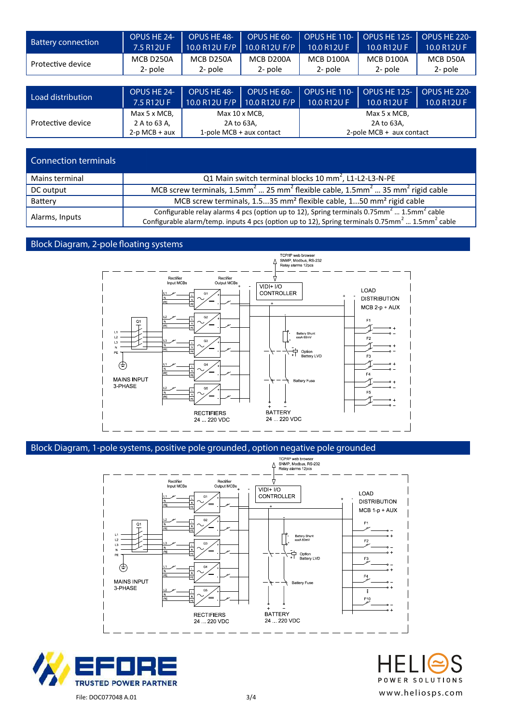| <b>Battery connection</b> | OPUS HE 24-     | OPUS HE 48-   | OPUS HE 60-                 | OPUS HE 110-               | <b>OPUS HE 125-</b> | OPUS HE 220- |
|---------------------------|-----------------|---------------|-----------------------------|----------------------------|---------------------|--------------|
|                           | 7.5 R12U F      | 10.0 R12U F/P | 10.0 R12U F/P               | 10.0 R12U F                | 10.0 R12U F         | 10.0 R12U F  |
| Protective device         | MCB D250A       | MCB D250A     | MCB D200A                   | MCB D100A                  | MCB D100A           | MCB D50A     |
|                           | 2- pole         | 2- pole       | 2- pole                     | 2- pole                    | 2- pole             | 2- pole      |
|                           |                 |               |                             |                            |                     |              |
| Load distribution         | OPUS HE 24-     | OPUS HE 48-   | OPUS HE 60-                 | OPUS HE 110-               | <b>OPUS HE 125-</b> | OPUS HE 220- |
|                           | 7.5 R12U F      |               | 10.0 R12U F/P 10.0 R12U F/P | 10.0 R12U F                | 10.0 R12U F         | 10.0 R12U F  |
|                           | Max 5 x MCB,    |               | Max 10 x MCB,               |                            | Max 5 x MCB,        |              |
| Protective device         | 2 A to 63 A,    |               | 2A to 63A,                  |                            | 2A to 63A,          |              |
|                           | $2-p MCB + aux$ |               | 1-pole MCB + aux contact    | 2-pole MCB $+$ aux contact |                     |              |

| Connection terminals |                                                                                                                                                                                                                                            |
|----------------------|--------------------------------------------------------------------------------------------------------------------------------------------------------------------------------------------------------------------------------------------|
| Mains terminal       | Q1 Main switch terminal blocks 10 mm <sup>2</sup> , L1-L2-L3-N-PE                                                                                                                                                                          |
| DC output            | MCB screw terminals, 1.5mm <sup>2</sup> 25 mm <sup>2</sup> flexible cable, 1.5mm <sup>2</sup> 35 mm <sup>2</sup> rigid cable                                                                                                               |
| Battery              | MCB screw terminals, 1.535 mm <sup>2</sup> flexible cable, 150 mm <sup>2</sup> rigid cable                                                                                                                                                 |
| Alarms, Inputs       | Configurable relay alarms 4 pcs (option up to 12), Spring terminals 0.75mm <sup>2</sup> 1.5mm <sup>2</sup> cable<br>Configurable alarm/temp. inputs 4 pcs (option up to 12), Spring terminals 0.75mm <sup>2</sup> 1.5mm <sup>2</sup> cable |

#### **Block Diagram, 2-pole oating systems**